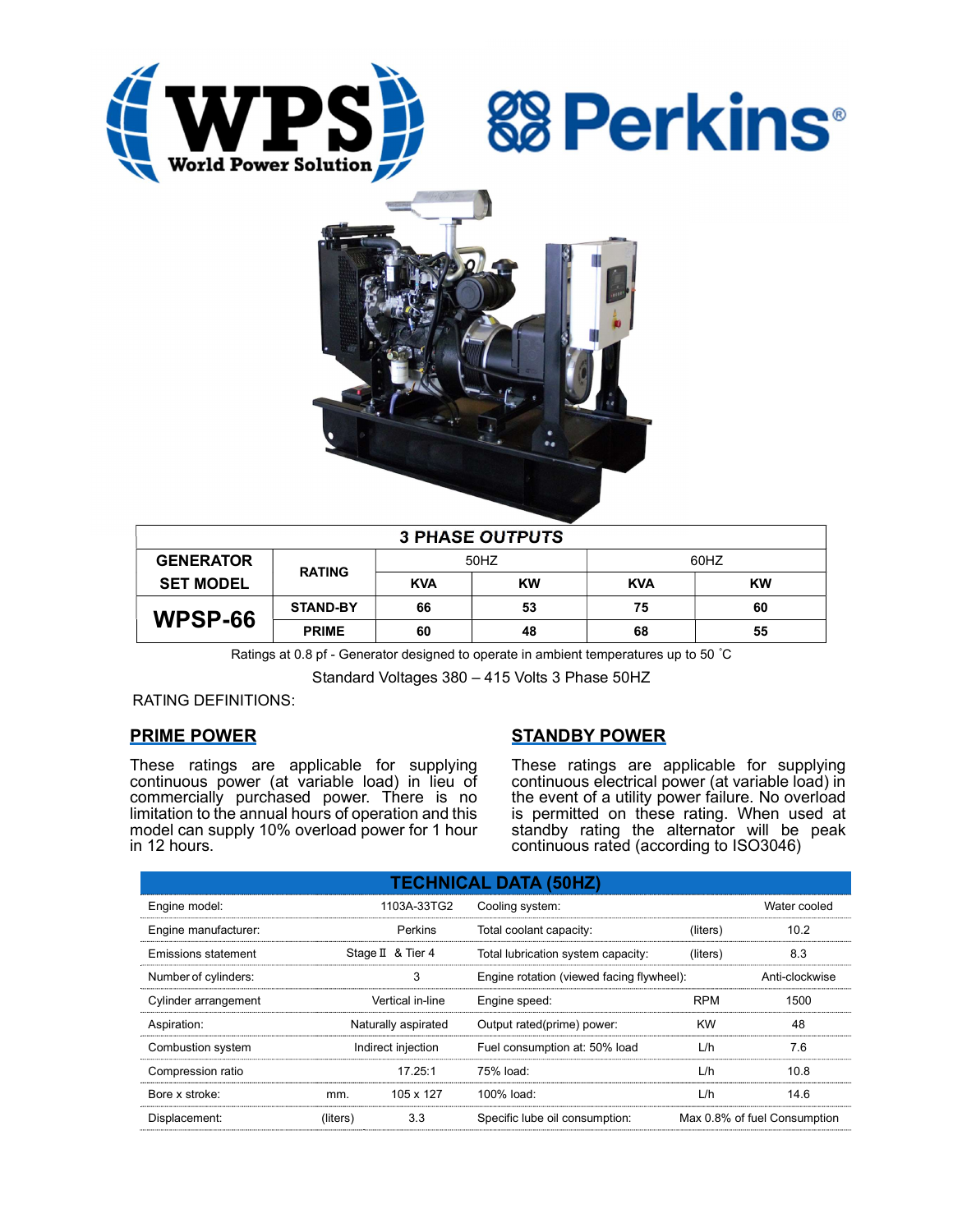





| <b>3 PHASE OUTPUTS</b> |                 |            |           |            |           |  |  |  |
|------------------------|-----------------|------------|-----------|------------|-----------|--|--|--|
| <b>GENERATOR</b>       | <b>RATING</b>   | 50HZ       |           | 60HZ       |           |  |  |  |
| <b>SET MODEL</b>       |                 | <b>KVA</b> | <b>KW</b> | <b>KVA</b> | <b>KW</b> |  |  |  |
| WPSP-66                | <b>STAND-BY</b> | 66         | 53        | 75         | 60        |  |  |  |
|                        | <b>PRIME</b>    | 60         | 48        | 68         | 55        |  |  |  |

Ratings at 0.8 pf - Generator designed to operate in ambient temperatures up to 50 °C

Standard Voltages 380 – 415 Volts 3 Phase 50HZ

### RATING DEFINITIONS:

### PRIME POWER

These ratings are applicable for supplying continuous power (at variable load) in lieu of commercially purchased power. There is no limitation to the annual hours of operation and this model can supply 10% overload power for 1 hour in 12 hours.

### STANDBY POWER

These ratings are applicable for supplying continuous electrical power (at variable load) in the event of a utility power failure. No overload is permitted on these rating. When used at standby rating the alternator will be peak continuous rated (according to ISO3046)

| <b>TECHNICAL DATA (50HZ)</b> |                     |                   |                                           |            |                              |  |  |  |  |
|------------------------------|---------------------|-------------------|-------------------------------------------|------------|------------------------------|--|--|--|--|
| Engine model:                |                     | 1103A-33TG2       | Cooling system:                           |            | Water cooled                 |  |  |  |  |
| Engine manufacturer:         |                     | Perkins           | Total coolant capacity:                   | (liters)   | 10.2                         |  |  |  |  |
| Emissions statement          |                     | Stage II & Tier 4 | Total lubrication system capacity:        | (liters)   | 8.3                          |  |  |  |  |
| Number of cylinders:         |                     | 3                 | Engine rotation (viewed facing flywheel): |            | Anti-clockwise               |  |  |  |  |
| Cylinder arrangement         | Vertical in-line    |                   | Engine speed:                             | <b>RPM</b> | 1500                         |  |  |  |  |
| Aspiration:                  | Naturally aspirated |                   | Output rated(prime) power:                | <b>KW</b>  | 48                           |  |  |  |  |
| Combustion system            | Indirect injection  |                   | Fuel consumption at: 50% load             | L/h        | 7.6                          |  |  |  |  |
| Compression ratio            |                     | 17.25:1           | 75% load:                                 | L/h        | 10.8                         |  |  |  |  |
| Bore x stroke:               | mm.                 | 105 x 127         | 100% load:                                | L/h        | 14.6                         |  |  |  |  |
| Displacement:                | (liters)            | 3.3               | Specific lube oil consumption:            |            | Max 0.8% of fuel Consumption |  |  |  |  |